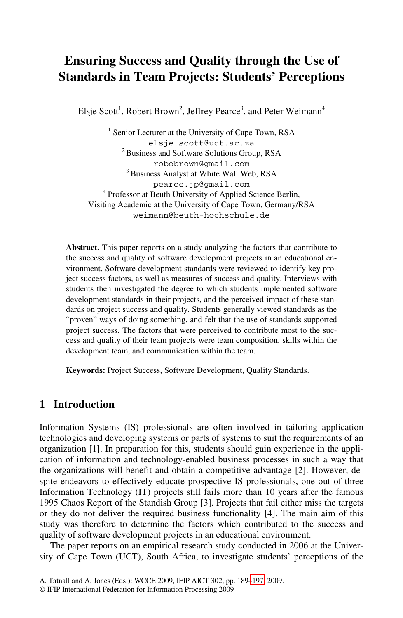# **Ensuring Success and Quality through the Use of Standards in Team Projects: Students' Perceptions**

Elsje Scott<sup>1</sup>, Robert Brown<sup>2</sup>, Jeffrey Pearce<sup>3</sup>, and Peter Weimann<sup>4</sup>

<sup>1</sup> Senior Lecturer at the University of Cape Town, RSA elsje.scott@uct.ac.za 2 Business and Software Solutions Group, RSA robobrown@gmail.com <sup>3</sup> Business Analyst at White Wall Web, RSA pearce.jp@gmail.com 4 Professor at Beuth University of Applied Science Berlin, Visiting Academic at the University of Cape Town, Germany/RSA weimann@beuth-hochschule.de

**Abstract.** This paper reports on a study analyzing the factors that contribute to the success and quality of software development projects in an educational environment. Software development standards were reviewed to identify key project success factors, as well as measures of success and quality. Interviews with students then investigated the degree to which students implemented software development standards in their projects, and the perceived impact of these standards on project success and quality. Students generally viewed standards as the "proven" ways of doing something, and felt that the use of standards supported project success. The factors that were perceived to contribute most to the success and quality of their team projects were team composition, skills within the development team, and communication within the team.

**Keywords:** Project Success, Software Development, Quality Standards.

## **1 Introduction**

Information Systems (IS) professionals are often involved in tailoring application technologies and developing systems or parts of systems to suit the requirements of an organization [1]. In preparation for this, students should gain experience in the application of information and technology-enabled business processes in such a way that the organizations will benefit and obtain a competitive advantage [2]. However, despite endeavors to effectively educate prospective IS professionals, one out of three Information Technology (IT) proje[cts s](#page-8-0)till fails more than 10 years after the famous 1995 Chaos Report of the Standish Group [3]. Projects that fail either miss the targets or they do not deliver the required business functionality [4]. The main aim of this study was therefore to determine the factors which contributed to the success and quality of software development projects in an educational environment.

The paper reports on an empirical research study conducted in 2006 at the University of Cape Town (UCT), South Africa, to investigate students' perceptions of the

A. Tatnall and A. Jones (Eds.): WCCE 2009, IFIP AICT 302, pp. 189–197, 2009.

<sup>©</sup> IFIP International Federation for Information Processing 2009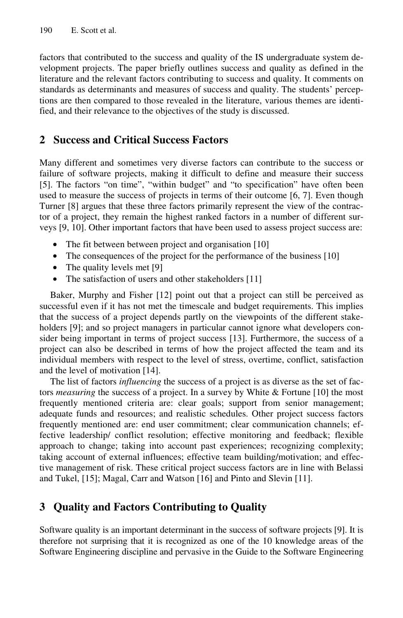factors that contributed to the success and quality of the IS undergraduate system development projects. The paper briefly outlines success and quality as defined in the literature and the relevant factors contributing to success and quality. It comments on standards as determinants and measures of success and quality. The students' perceptions are then compared to those revealed in the literature, various themes are identified, and their relevance to the objectives of the study is discussed.

### **2 Success and Critical Success Factors**

Many different and sometimes very diverse factors can contribute to the success or failure of software projects, making it difficult to define and measure their success [5]. The factors "on time", "within budget" and "to specification" have often been used to measure the success of projects in terms of their outcome [6, 7]. Even though Turner [8] argues that these three factors primarily represent the view of the contractor of a project, they remain the highest ranked factors in a number of different surveys [9, 10]. Other important factors that have been used to assess project success are:

- The fit between between project and organisation [10]
- The consequences of the project for the performance of the business [10]
- The quality levels met [9]
- The satisfaction of users and other stakeholders [11]

Baker, Murphy and Fisher [12] point out that a project can still be perceived as successful even if it has not met the timescale and budget requirements. This implies that the success of a project depends partly on the viewpoints of the different stakeholders [9]; and so project managers in particular cannot ignore what developers consider being important in terms of project success [13]. Furthermore, the success of a project can also be described in terms of how the project affected the team and its individual members with respect to the level of stress, overtime, conflict, satisfaction and the level of motivation [14].

The list of factors *influencing* the success of a project is as diverse as the set of factors *measuring* the success of a project. In a survey by White & Fortune [10] the most frequently mentioned criteria are: clear goals; support from senior management; adequate funds and resources; and realistic schedules. Other project success factors frequently mentioned are: end user commitment; clear communication channels; effective leadership/ conflict resolution; effective monitoring and feedback; flexible approach to change; taking into account past experiences; recognizing complexity; taking account of external influences; effective team building/motivation; and effective management of risk. These critical project success factors are in line with Belassi and Tukel, [15]; Magal, Carr and Watson [16] and Pinto and Slevin [11].

### **3 Quality and Factors Contributing to Quality**

Software quality is an important determinant in the success of software projects [9]. It is therefore not surprising that it is recognized as one of the 10 knowledge areas of the Software Engineering discipline and pervasive in the Guide to the Software Engineering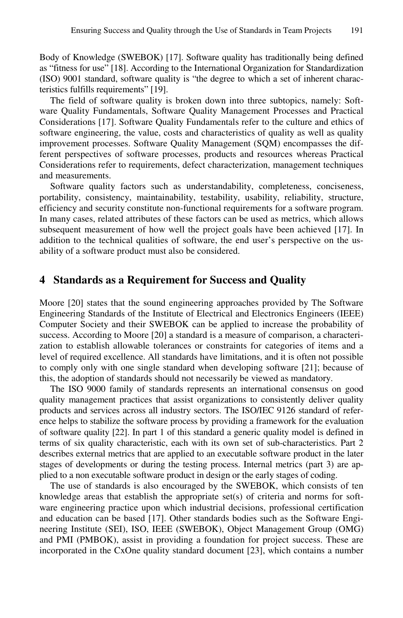Body of Knowledge (SWEBOK) [17]. Software quality has traditionally being defined as "fitness for use" [18]. According to the International Organization for Standardization (ISO) 9001 standard, software quality is "the degree to which a set of inherent characteristics fulfills requirements" [19].

The field of software quality is broken down into three subtopics, namely: Software Quality Fundamentals, Software Quality Management Processes and Practical Considerations [17]. Software Quality Fundamentals refer to the culture and ethics of software engineering, the value, costs and characteristics of quality as well as quality improvement processes. Software Quality Management (SQM) encompasses the different perspectives of software processes, products and resources whereas Practical Considerations refer to requirements, defect characterization, management techniques and measurements.

Software quality factors such as understandability, completeness, conciseness, portability, consistency, maintainability, testability, usability, reliability, structure, efficiency and security constitute non-functional requirements for a software program. In many cases, related attributes of these factors can be used as metrics, which allows subsequent measurement of how well the project goals have been achieved [17]. In addition to the technical qualities of software, the end user's perspective on the usability of a software product must also be considered.

#### **4 Standards as a Requirement for Success and Quality**

Moore [20] states that the sound engineering approaches provided by The Software Engineering Standards of the Institute of Electrical and Electronics Engineers (IEEE) Computer Society and their SWEBOK can be applied to increase the probability of success. According to Moore [20] a standard is a measure of comparison, a characterization to establish allowable tolerances or constraints for categories of items and a level of required excellence. All standards have limitations, and it is often not possible to comply only with one single standard when developing software [21]; because of this, the adoption of standards should not necessarily be viewed as mandatory.

The ISO 9000 family of standards represents an international consensus on good quality management practices that assist organizations to consistently deliver quality products and services across all industry sectors. The ISO/IEC 9126 standard of reference helps to stabilize the software process by providing a framework for the evaluation of software quality [22]. In part 1 of this standard a generic quality model is defined in terms of six quality characteristic, each with its own set of sub-characteristics. Part 2 describes external metrics that are applied to an executable software product in the later stages of developments or during the testing process. Internal metrics (part 3) are applied to a non executable software product in design or the early stages of coding.

The use of standards is also encouraged by the SWEBOK, which consists of ten knowledge areas that establish the appropriate set(s) of criteria and norms for software engineering practice upon which industrial decisions, professional certification and education can be based [17]. Other standards bodies such as the Software Engineering Institute (SEI), ISO, IEEE (SWEBOK), Object Management Group (OMG) and PMI (PMBOK), assist in providing a foundation for project success. These are incorporated in the CxOne quality standard document [23], which contains a number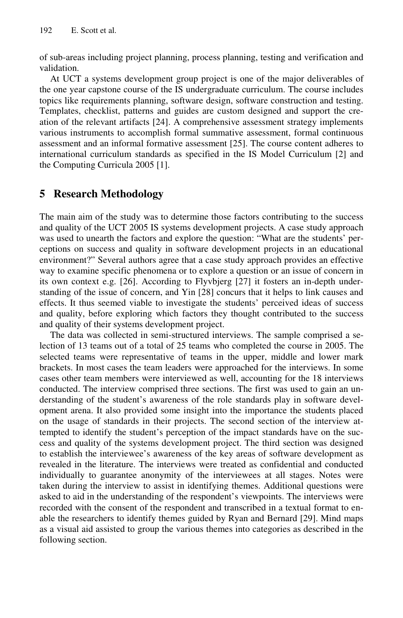of sub-areas including project planning, process planning, testing and verification and validation.

At UCT a systems development group project is one of the major deliverables of the one year capstone course of the IS undergraduate curriculum. The course includes topics like requirements planning, software design, software construction and testing. Templates, checklist, patterns and guides are custom designed and support the creation of the relevant artifacts [24]. A comprehensive assessment strategy implements various instruments to accomplish formal summative assessment, formal continuous assessment and an informal formative assessment [25]. The course content adheres to international curriculum standards as specified in the IS Model Curriculum [2] and the Computing Curricula 2005 [1].

## **5 Research Methodology**

The main aim of the study was to determine those factors contributing to the success and quality of the UCT 2005 IS systems development projects. A case study approach was used to unearth the factors and explore the question: "What are the students' perceptions on success and quality in software development projects in an educational environment?" Several authors agree that a case study approach provides an effective way to examine specific phenomena or to explore a question or an issue of concern in its own context e.g. [26]. According to Flyvbjerg [27] it fosters an in-depth understanding of the issue of concern, and Yin [28] concurs that it helps to link causes and effects. It thus seemed viable to investigate the students' perceived ideas of success and quality, before exploring which factors they thought contributed to the success and quality of their systems development project.

The data was collected in semi-structured interviews. The sample comprised a selection of 13 teams out of a total of 25 teams who completed the course in 2005. The selected teams were representative of teams in the upper, middle and lower mark brackets. In most cases the team leaders were approached for the interviews. In some cases other team members were interviewed as well, accounting for the 18 interviews conducted. The interview comprised three sections. The first was used to gain an understanding of the student's awareness of the role standards play in software development arena. It also provided some insight into the importance the students placed on the usage of standards in their projects. The second section of the interview attempted to identify the student's perception of the impact standards have on the success and quality of the systems development project. The third section was designed to establish the interviewee's awareness of the key areas of software development as revealed in the literature. The interviews were treated as confidential and conducted individually to guarantee anonymity of the interviewees at all stages. Notes were taken during the interview to assist in identifying themes. Additional questions were asked to aid in the understanding of the respondent's viewpoints. The interviews were recorded with the consent of the respondent and transcribed in a textual format to enable the researchers to identify themes guided by Ryan and Bernard [29]. Mind maps as a visual aid assisted to group the various themes into categories as described in the following section.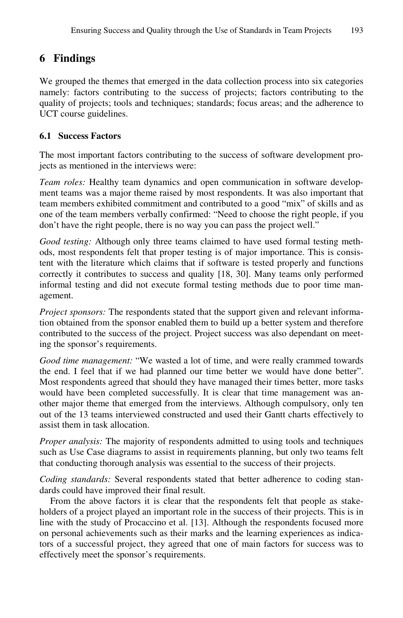## **6 Findings**

We grouped the themes that emerged in the data collection process into six categories namely: factors contributing to the success of projects; factors contributing to the quality of projects; tools and techniques; standards; focus areas; and the adherence to UCT course guidelines.

#### **6.1 Success Factors**

The most important factors contributing to the success of software development projects as mentioned in the interviews were:

*Team roles:* Healthy team dynamics and open communication in software development teams was a major theme raised by most respondents. It was also important that team members exhibited commitment and contributed to a good "mix" of skills and as one of the team members verbally confirmed: "Need to choose the right people, if you don't have the right people, there is no way you can pass the project well."

*Good testing:* Although only three teams claimed to have used formal testing methods, most respondents felt that proper testing is of major importance. This is consistent with the literature which claims that if software is tested properly and functions correctly it contributes to success and quality [18, 30]. Many teams only performed informal testing and did not execute formal testing methods due to poor time management.

*Project sponsors:* The respondents stated that the support given and relevant information obtained from the sponsor enabled them to build up a better system and therefore contributed to the success of the project. Project success was also dependant on meeting the sponsor's requirements.

*Good time management:* "We wasted a lot of time, and were really crammed towards the end. I feel that if we had planned our time better we would have done better". Most respondents agreed that should they have managed their times better, more tasks would have been completed successfully. It is clear that time management was another major theme that emerged from the interviews. Although compulsory, only ten out of the 13 teams interviewed constructed and used their Gantt charts effectively to assist them in task allocation.

*Proper analysis:* The majority of respondents admitted to using tools and techniques such as Use Case diagrams to assist in requirements planning, but only two teams felt that conducting thorough analysis was essential to the success of their projects.

*Coding standards:* Several respondents stated that better adherence to coding standards could have improved their final result.

From the above factors it is clear that the respondents felt that people as stakeholders of a project played an important role in the success of their projects. This is in line with the study of Procaccino et al. [13]. Although the respondents focused more on personal achievements such as their marks and the learning experiences as indicators of a successful project, they agreed that one of main factors for success was to effectively meet the sponsor's requirements.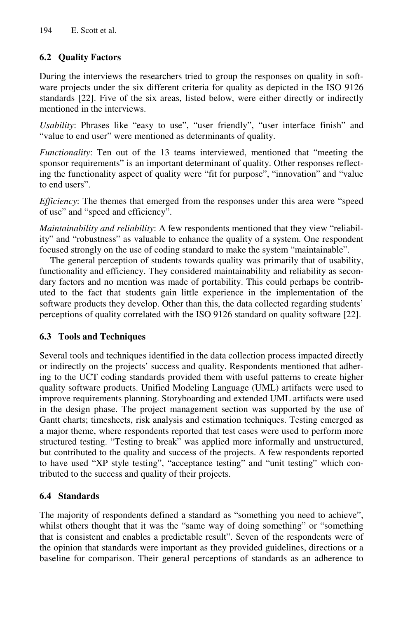### **6.2 Quality Factors**

During the interviews the researchers tried to group the responses on quality in software projects under the six different criteria for quality as depicted in the ISO 9126 standards [22]. Five of the six areas, listed below, were either directly or indirectly mentioned in the interviews.

*Usability*: Phrases like "easy to use", "user friendly", "user interface finish" and "value to end user" were mentioned as determinants of quality.

*Functionality*: Ten out of the 13 teams interviewed, mentioned that "meeting the sponsor requirements" is an important determinant of quality. Other responses reflecting the functionality aspect of quality were "fit for purpose", "innovation" and "value to end users".

*Efficiency*: The themes that emerged from the responses under this area were "speed of use" and "speed and efficiency".

*Maintainability and reliability*: A few respondents mentioned that they view "reliability" and "robustness" as valuable to enhance the quality of a system. One respondent focused strongly on the use of coding standard to make the system "maintainable".

The general perception of students towards quality was primarily that of usability, functionality and efficiency. They considered maintainability and reliability as secondary factors and no mention was made of portability. This could perhaps be contributed to the fact that students gain little experience in the implementation of the software products they develop. Other than this, the data collected regarding students' perceptions of quality correlated with the ISO 9126 standard on quality software [22].

### **6.3 Tools and Techniques**

Several tools and techniques identified in the data collection process impacted directly or indirectly on the projects' success and quality. Respondents mentioned that adhering to the UCT coding standards provided them with useful patterns to create higher quality software products. Unified Modeling Language (UML) artifacts were used to improve requirements planning. Storyboarding and extended UML artifacts were used in the design phase. The project management section was supported by the use of Gantt charts; timesheets, risk analysis and estimation techniques. Testing emerged as a major theme, where respondents reported that test cases were used to perform more structured testing. "Testing to break" was applied more informally and unstructured, but contributed to the quality and success of the projects. A few respondents reported to have used "XP style testing", "acceptance testing" and "unit testing" which contributed to the success and quality of their projects.

### **6.4 Standards**

The majority of respondents defined a standard as "something you need to achieve", whilst others thought that it was the "same way of doing something" or "something" that is consistent and enables a predictable result". Seven of the respondents were of the opinion that standards were important as they provided guidelines, directions or a baseline for comparison. Their general perceptions of standards as an adherence to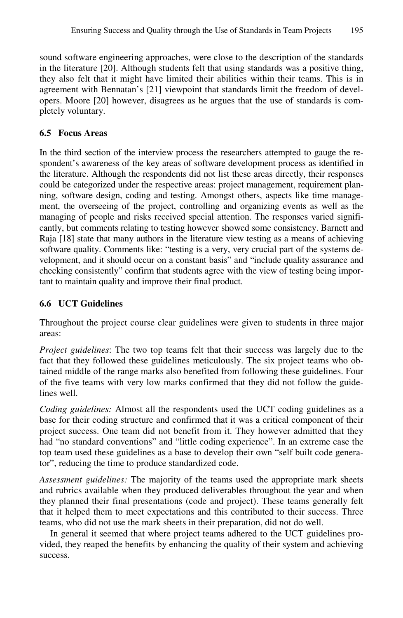sound software engineering approaches, were close to the description of the standards in the literature [20]. Although students felt that using standards was a positive thing, they also felt that it might have limited their abilities within their teams. This is in agreement with Bennatan's [21] viewpoint that standards limit the freedom of developers. Moore [20] however, disagrees as he argues that the use of standards is completely voluntary.

#### **6.5 Focus Areas**

In the third section of the interview process the researchers attempted to gauge the respondent's awareness of the key areas of software development process as identified in the literature. Although the respondents did not list these areas directly, their responses could be categorized under the respective areas: project management, requirement planning, software design, coding and testing. Amongst others, aspects like time management, the overseeing of the project, controlling and organizing events as well as the managing of people and risks received special attention. The responses varied significantly, but comments relating to testing however showed some consistency. Barnett and Raja [18] state that many authors in the literature view testing as a means of achieving software quality. Comments like: "testing is a very, very crucial part of the systems development, and it should occur on a constant basis" and "include quality assurance and checking consistently" confirm that students agree with the view of testing being important to maintain quality and improve their final product.

#### **6.6 UCT Guidelines**

Throughout the project course clear guidelines were given to students in three major areas:

*Project guidelines*: The two top teams felt that their success was largely due to the fact that they followed these guidelines meticulously. The six project teams who obtained middle of the range marks also benefited from following these guidelines. Four of the five teams with very low marks confirmed that they did not follow the guidelines well.

*Coding guidelines:* Almost all the respondents used the UCT coding guidelines as a base for their coding structure and confirmed that it was a critical component of their project success. One team did not benefit from it. They however admitted that they had "no standard conventions" and "little coding experience". In an extreme case the top team used these guidelines as a base to develop their own "self built code generator", reducing the time to produce standardized code.

*Assessment guidelines:* The majority of the teams used the appropriate mark sheets and rubrics available when they produced deliverables throughout the year and when they planned their final presentations (code and project). These teams generally felt that it helped them to meet expectations and this contributed to their success. Three teams, who did not use the mark sheets in their preparation, did not do well.

In general it seemed that where project teams adhered to the UCT guidelines provided, they reaped the benefits by enhancing the quality of their system and achieving success.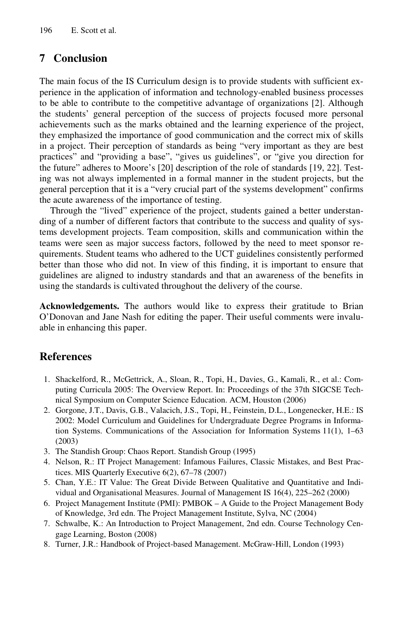## **7 Conclusion**

The main focus of the IS Curriculum design is to provide students with sufficient experience in the application of information and technology-enabled business processes to be able to contribute to the competitive advantage of organizations [2]. Although the students' general perception of the success of projects focused more personal achievements such as the marks obtained and the learning experience of the project, they emphasized the importance of good communication and the correct mix of skills in a project. Their perception of standards as being "very important as they are best practices" and "providing a base", "gives us guidelines", or "give you direction for the future" adheres to Moore's [20] description of the role of standards [19, 22]. Testing was not always implemented in a formal manner in the student projects, but the general perception that it is a "very crucial part of the systems development" confirms the acute awareness of the importance of testing.

Through the "lived" experience of the project, students gained a better understanding of a number of different factors that contribute to the success and quality of systems development projects. Team composition, skills and communication within the teams were seen as major success factors, followed by the need to meet sponsor requirements. Student teams who adhered to the UCT guidelines consistently performed better than those who did not. In view of this finding, it is important to ensure that guidelines are aligned to industry standards and that an awareness of the benefits in using the standards is cultivated throughout the delivery of the course.

**Acknowledgements.** The authors would like to express their gratitude to Brian O'Donovan and Jane Nash for editing the paper. Their useful comments were invaluable in enhancing this paper.

## **References**

- 1. Shackelford, R., McGettrick, A., Sloan, R., Topi, H., Davies, G., Kamali, R., et al.: Computing Curricula 2005: The Overview Report. In: Proceedings of the 37th SIGCSE Technical Symposium on Computer Science Education. ACM, Houston (2006)
- 2. Gorgone, J.T., Davis, G.B., Valacich, J.S., Topi, H., Feinstein, D.L., Longenecker, H.E.: IS 2002: Model Curriculum and Guidelines for Undergraduate Degree Programs in Information Systems. Communications of the Association for Information Systems 11(1), 1–63 (2003)
- 3. The Standish Group: Chaos Report. Standish Group (1995)
- 4. Nelson, R.: IT Project Management: Infamous Failures, Classic Mistakes, and Best Practices. MIS Quarterly Executive 6(2), 67–78 (2007)
- 5. Chan, Y.E.: IT Value: The Great Divide Between Qualitative and Quantitative and Individual and Organisational Measures. Journal of Management IS 16(4), 225–262 (2000)
- 6. Project Management Institute (PMI): PMBOK A Guide to the Project Management Body of Knowledge, 3rd edn. The Project Management Institute, Sylva, NC (2004)
- 7. Schwalbe, K.: An Introduction to Project Management, 2nd edn. Course Technology Cengage Learning, Boston (2008)
- 8. Turner, J.R.: Handbook of Project-based Management. McGraw-Hill, London (1993)